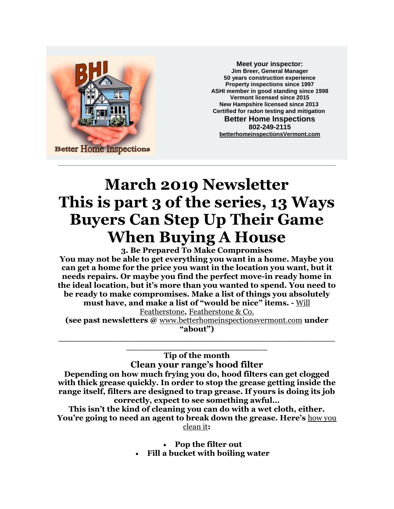

**Meet your inspector: Jim Breer, General Manager 50 years construction experience Property inspections since 1997 ASHI member in good standing since 1998 Vermont licensed since 2015 New Hampshire licensed since 2013 Certified for radon testing and mitigation Better Home Inspections 802-249-2115 [betterhomeinspectionsVermont.com](http://betterhomeinspectionsvermont.com/)**

## **March 2019 Newsletter This is part 3 of the series, 13 Ways Buyers Can Step Up Their Game When Buying A House**

**3. Be Prepared To Make Compromises You may not be able to get everything you want in a home. Maybe you can get a home for the price you want in the location you want, but it needs repairs. Or maybe you find the perfect move-in ready home in the ideal location, but it's more than you wanted to spend. You need to be ready to make compromises. Make a list of things you absolutely must have, and make a list of "would be nice" items. -** [Will](https://www.linkedin.com/in/wcfeatherstone)  [Featherstone](https://www.linkedin.com/in/wcfeatherstone)**,** [Featherstone & Co.](http://featherstoneco.com/)

**(see past newsletters @** [www.betterhomeinspectionsvermont.com](http://www.betterhomeinspectionsvermont.com/) **under "about") \_\_\_\_\_\_\_\_\_\_\_\_\_\_\_\_\_\_\_\_\_\_\_\_\_\_\_\_\_\_\_\_\_\_\_\_\_\_\_\_\_\_\_\_\_\_\_\_\_\_\_**

> **Tip of the month Clean your range's hood filter**

**\_\_\_\_\_\_\_\_\_\_\_\_\_\_\_\_\_\_\_\_\_\_\_\_\_\_**

**Depending on how much frying you do, hood filters can get clogged with thick grease quickly. In order to stop the grease getting inside the range itself, filters are designed to trap grease. If yours is doing its job correctly, expect to see something awful…**

**This isn't the kind of cleaning you can do with a wet cloth, either. You're going to need an agent to break down the grease. Here's** [how you](http://www.thekitchn.com/how-to-clean-a-greasy-range-hood-filter-cleaning-lessons-from-the-kitchn-203844)  [clean it](http://www.thekitchn.com/how-to-clean-a-greasy-range-hood-filter-cleaning-lessons-from-the-kitchn-203844)**:**

• **Pop the filter out**

• **Fill a bucket with boiling water**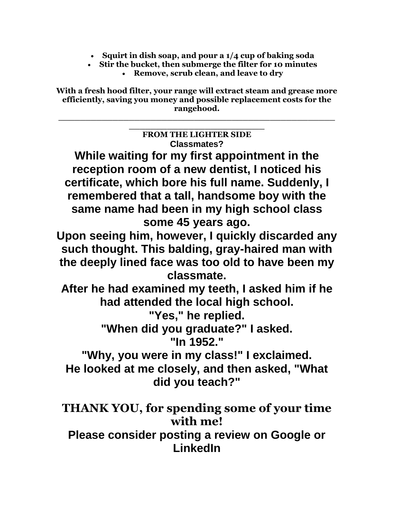- **Squirt in dish soap, and pour a 1/4 cup of baking soda**
- **Stir the bucket, then submerge the filter for 10 minutes** • **Remove, scrub clean, and leave to dry**

**With a fresh hood filter, your range will extract steam and grease more efficiently, saving you money and possible replacement costs for the rangehood.**

**\_\_\_\_\_\_\_\_\_\_\_\_\_\_\_\_\_\_\_\_\_\_\_\_\_\_\_\_\_\_\_\_\_\_\_\_\_\_\_\_\_\_\_\_\_\_\_\_\_\_\_**

| <b>FROM THE LIGHTER SIDE</b>                                                                    |
|-------------------------------------------------------------------------------------------------|
| <b>Classmates?</b>                                                                              |
| While waiting for my first appointment in the<br>reception room of a new dentist, I noticed his |
| certificate, which bore his full name. Suddenly, I                                              |
| remembered that a tall, handsome boy with the                                                   |
| same name had been in my high school class<br>some 45 years ago.                                |
| Upon seeing him, however, I quickly discarded any                                               |
| such thought. This balding, gray-haired man with                                                |
| the deeply lined face was too old to have been my                                               |
| classmate.                                                                                      |
| After he had examined my teeth, I asked him if he                                               |
| had attended the local high school.                                                             |
| "Yes," he replied.                                                                              |
| "When did you graduate?" I asked.<br>"In 1952."                                                 |
|                                                                                                 |
| "Why, you were in my class!" I exclaimed.                                                       |
| He looked at me closely, and then asked, "What                                                  |
| did you teach?"                                                                                 |
| THANK YOU, for spending some of your time<br>with me!                                           |
| Please consider posting a review on Google or<br>LinkedIn                                       |